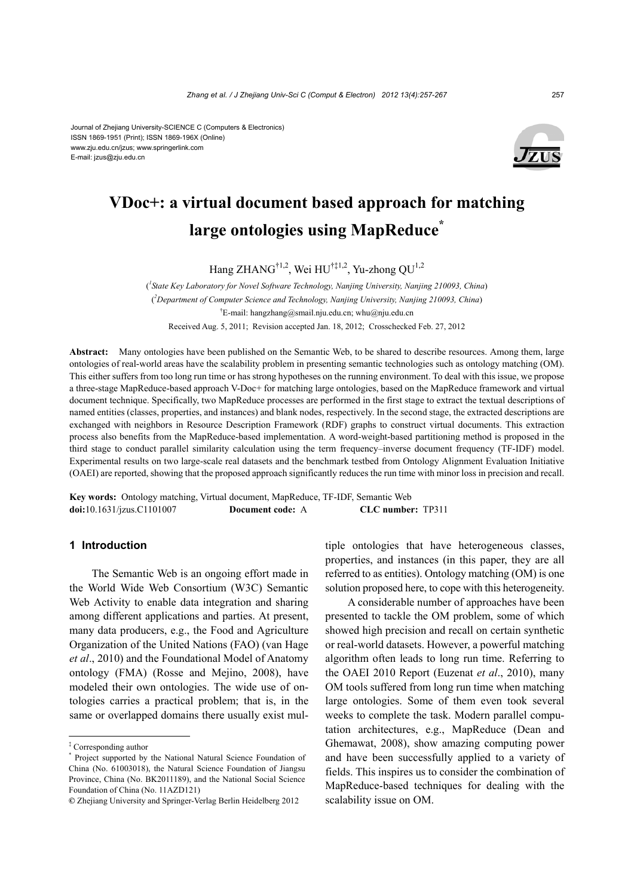Journal of Zhejiang University-SCIENCE C (Computers & Electronics) ISSN 1869-1951 (Print); ISSN 1869-196X (Online) www.zju.edu.cn/jzus; www.springerlink.com E-mail: jzus@zju.edu.cn



# **VDoc+: a virtual document based approach for matching large ontologies using MapReduce\***

Hang ZHANG<sup>†1,2</sup>, Wei HU<sup>†‡1,2</sup>, Yu-zhong OU<sup>1,2</sup>

( *1 State Key Laboratory for Novel Software Technology, Nanjing University, Nanjing 210093, China*) ( *2 Department of Computer Science and Technology, Nanjing University, Nanjing 210093, China*) † E-mail: hangzhang@smail.nju.edu.cn; whu@nju.edu.cn Received Aug. 5, 2011; Revision accepted Jan. 18, 2012; Crosschecked Feb. 27, 2012

**Abstract:** Many ontologies have been published on the Semantic Web, to be shared to describe resources. Among them, large ontologies of real-world areas have the scalability problem in presenting semantic technologies such as ontology matching (OM). This either suffers from too long run time or has strong hypotheses on the running environment. To deal with this issue, we propose a three-stage MapReduce-based approach V-Doc+ for matching large ontologies, based on the MapReduce framework and virtual document technique. Specifically, two MapReduce processes are performed in the first stage to extract the textual descriptions of named entities (classes, properties, and instances) and blank nodes, respectively. In the second stage, the extracted descriptions are exchanged with neighbors in Resource Description Framework (RDF) graphs to construct virtual documents. This extraction process also benefits from the MapReduce-based implementation. A word-weight-based partitioning method is proposed in the third stage to conduct parallel similarity calculation using the term frequency–inverse document frequency (TF-IDF) model. Experimental results on two large-scale real datasets and the benchmark testbed from Ontology Alignment Evaluation Initiative (OAEI) are reported, showing that the proposed approach significantly reduces the run time with minor loss in precision and recall.

**Key words:** Ontology matching, Virtual document, MapReduce, TF-IDF, Semantic Web **doi:**10.1631/jzus.C1101007 **Document code:** A **CLC number:** TP311

# **1 Introduction**

The Semantic Web is an ongoing effort made in the World Wide Web Consortium (W3C) Semantic Web Activity to enable data integration and sharing among different applications and parties. At present, many data producers, e.g., the Food and Agriculture Organization of the United Nations (FAO) (van Hage *et al*., 2010) and the Foundational Model of Anatomy ontology (FMA) (Rosse and Mejino, 2008), have modeled their own ontologies. The wide use of ontologies carries a practical problem; that is, in the same or overlapped domains there usually exist multiple ontologies that have heterogeneous classes, properties, and instances (in this paper, they are all referred to as entities). Ontology matching (OM) is one solution proposed here, to cope with this heterogeneity.

A considerable number of approaches have been presented to tackle the OM problem, some of which showed high precision and recall on certain synthetic or real-world datasets. However, a powerful matching algorithm often leads to long run time. Referring to the OAEI 2010 Report (Euzenat *et al*., 2010), many OM tools suffered from long run time when matching large ontologies. Some of them even took several weeks to complete the task. Modern parallel computation architectures, e.g., MapReduce (Dean and Ghemawat, 2008), show amazing computing power and have been successfully applied to a variety of fields. This inspires us to consider the combination of MapReduce-based techniques for dealing with the scalability issue on OM.

<sup>‡</sup> Corresponding author

<sup>\*</sup> Project supported by the National Natural Science Foundation of China (No. 61003018), the Natural Science Foundation of Jiangsu Province, China (No. BK2011189), and the National Social Science Foundation of China (No. 11AZD121)

**<sup>©</sup>** Zhejiang University and Springer-Verlag Berlin Heidelberg 2012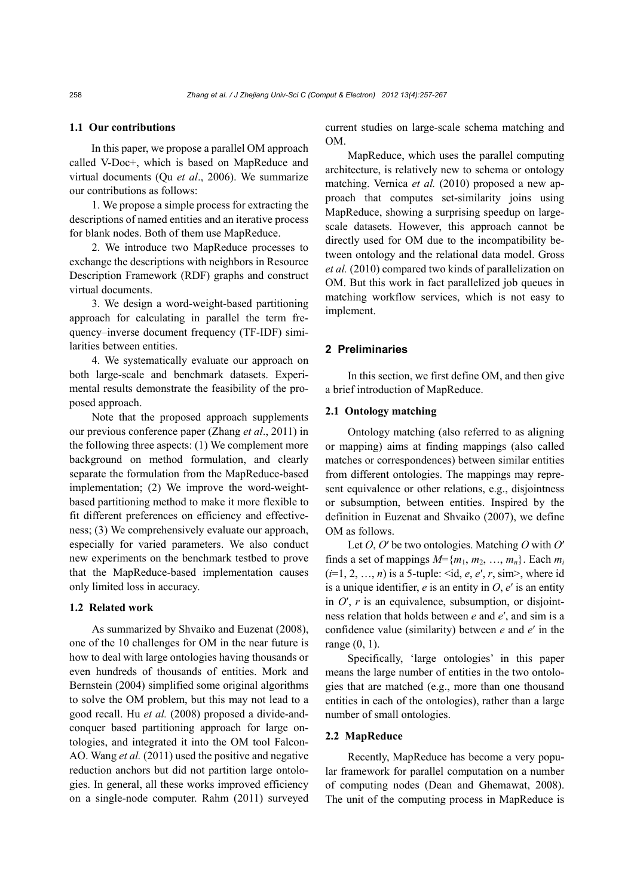# **1.1 Our contributions**

In this paper, we propose a parallel OM approach called V-Doc+, which is based on MapReduce and virtual documents (Qu *et al*., 2006). We summarize our contributions as follows:

1. We propose a simple process for extracting the descriptions of named entities and an iterative process for blank nodes. Both of them use MapReduce.

2. We introduce two MapReduce processes to exchange the descriptions with neighbors in Resource Description Framework (RDF) graphs and construct virtual documents.

3. We design a word-weight-based partitioning approach for calculating in parallel the term frequency–inverse document frequency (TF-IDF) similarities between entities.

4. We systematically evaluate our approach on both large-scale and benchmark datasets. Experimental results demonstrate the feasibility of the proposed approach.

Note that the proposed approach supplements our previous conference paper (Zhang *et al*., 2011) in the following three aspects: (1) We complement more background on method formulation, and clearly separate the formulation from the MapReduce-based implementation; (2) We improve the word-weightbased partitioning method to make it more flexible to fit different preferences on efficiency and effectiveness; (3) We comprehensively evaluate our approach, especially for varied parameters. We also conduct new experiments on the benchmark testbed to prove that the MapReduce-based implementation causes only limited loss in accuracy.

# **1.2 Related work**

As summarized by Shvaiko and Euzenat (2008), one of the 10 challenges for OM in the near future is how to deal with large ontologies having thousands or even hundreds of thousands of entities. Mork and Bernstein (2004) simplified some original algorithms to solve the OM problem, but this may not lead to a good recall. Hu *et al.* (2008) proposed a divide-andconquer based partitioning approach for large ontologies, and integrated it into the OM tool Falcon-AO. Wang *et al.* (2011) used the positive and negative reduction anchors but did not partition large ontologies. In general, all these works improved efficiency on a single-node computer. Rahm (2011) surveyed current studies on large-scale schema matching and OM.

MapReduce, which uses the parallel computing architecture, is relatively new to schema or ontology matching. Vernica *et al.* (2010) proposed a new approach that computes set-similarity joins using MapReduce, showing a surprising speedup on largescale datasets. However, this approach cannot be directly used for OM due to the incompatibility between ontology and the relational data model. Gross *et al.* (2010) compared two kinds of parallelization on OM. But this work in fact parallelized job queues in matching workflow services, which is not easy to implement.

# **2 Preliminaries**

In this section, we first define OM, and then give a brief introduction of MapReduce.

#### **2.1 Ontology matching**

Ontology matching (also referred to as aligning or mapping) aims at finding mappings (also called matches or correspondences) between similar entities from different ontologies. The mappings may represent equivalence or other relations, e.g., disjointness or subsumption, between entities. Inspired by the definition in Euzenat and Shvaiko (2007), we define OM as follows.

Let *O*, *O*′ be two ontologies. Matching *O* with *O*′ finds a set of mappings  $M = \{m_1, m_2, \ldots, m_n\}$ . Each  $m_i$ (*i*=1, 2, …, *n*) is a 5-tuple: <id, *e*, *e*′, *r*, sim>, where id is a unique identifier,  $e$  is an entity in  $O$ ,  $e'$  is an entity in  $O'$ ,  $r$  is an equivalence, subsumption, or disjointness relation that holds between *e* and *e*′, and sim is a confidence value (similarity) between *e* and *e*′ in the range (0, 1).

Specifically, 'large ontologies' in this paper means the large number of entities in the two ontologies that are matched (e.g., more than one thousand entities in each of the ontologies), rather than a large number of small ontologies.

#### **2.2 MapReduce**

Recently, MapReduce has become a very popular framework for parallel computation on a number of computing nodes (Dean and Ghemawat, 2008). The unit of the computing process in MapReduce is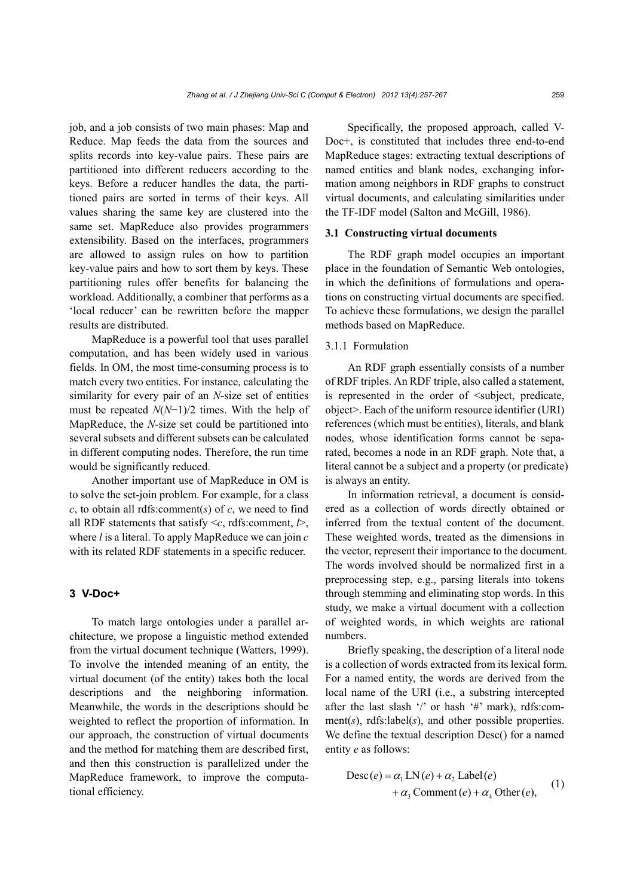job, and a job consists of two main phases: Map and Reduce. Map feeds the data from the sources and splits records into key-value pairs. These pairs are partitioned into different reducers according to the keys. Before a reducer handles the data, the partitioned pairs are sorted in terms of their keys. All values sharing the same key are clustered into the same set. MapReduce also provides programmers extensibility. Based on the interfaces, programmers are allowed to assign rules on how to partition key-value pairs and how to sort them by keys. These partitioning rules offer benefits for balancing the workload. Additionally, a combiner that performs as a 'local reducer' can be rewritten before the mapper results are distributed.

MapReduce is a powerful tool that uses parallel computation, and has been widely used in various fields. In OM, the most time-consuming process is to match every two entities. For instance, calculating the similarity for every pair of an *N*-size set of entities must be repeated *N*(*N*−1)/2 times. With the help of MapReduce, the *N*-size set could be partitioned into several subsets and different subsets can be calculated in different computing nodes. Therefore, the run time would be significantly reduced.

Another important use of MapReduce in OM is to solve the set-join problem. For example, for a class *c*, to obtain all rdfs:comment(*s*) of *c*, we need to find all RDF statements that satisfy <*c*, rdfs:comment, *l*>, where *l* is a literal. To apply MapReduce we can join *c* with its related RDF statements in a specific reducer.

# **3 V-Doc+**

To match large ontologies under a parallel architecture, we propose a linguistic method extended from the virtual document technique (Watters, 1999). To involve the intended meaning of an entity, the virtual document (of the entity) takes both the local descriptions and the neighboring information. Meanwhile, the words in the descriptions should be weighted to reflect the proportion of information. In our approach, the construction of virtual documents and the method for matching them are described first, and then this construction is parallelized under the MapReduce framework, to improve the computational efficiency.

Specifically, the proposed approach, called V-Doc+, is constituted that includes three end-to-end MapReduce stages: extracting textual descriptions of named entities and blank nodes, exchanging information among neighbors in RDF graphs to construct virtual documents, and calculating similarities under the TF-IDF model (Salton and McGill, 1986).

# **3.1 Constructing virtual documents**

The RDF graph model occupies an important place in the foundation of Semantic Web ontologies, in which the definitions of formulations and operations on constructing virtual documents are specified. To achieve these formulations, we design the parallel methods based on MapReduce.

# 3.1.1 Formulation

An RDF graph essentially consists of a number of RDF triples. An RDF triple, also called a statement, is represented in the order of  $\leq$ subject, predicate, object>. Each of the uniform resource identifier (URI) references (which must be entities), literals, and blank nodes, whose identification forms cannot be separated, becomes a node in an RDF graph. Note that, a literal cannot be a subject and a property (or predicate) is always an entity.

In information retrieval, a document is considered as a collection of words directly obtained or inferred from the textual content of the document. These weighted words, treated as the dimensions in the vector, represent their importance to the document. The words involved should be normalized first in a preprocessing step, e.g., parsing literals into tokens through stemming and eliminating stop words. In this study, we make a virtual document with a collection of weighted words, in which weights are rational numbers.

Briefly speaking, the description of a literal node is a collection of words extracted from its lexical form. For a named entity, the words are derived from the local name of the URI (i.e., a substring intercepted after the last slash  $\prime$  or hash  $\prime$  #' mark), rdfs:comment(*s*), rdfs:label(*s*), and other possible properties. We define the textual description Desc() for a named entity *e* as follows:

$$
Desc(e) = \alpha_1 LN(e) + \alpha_2 Label(e) + \alpha_3 Comment(e) + \alpha_4 Other(e),
$$
 (1)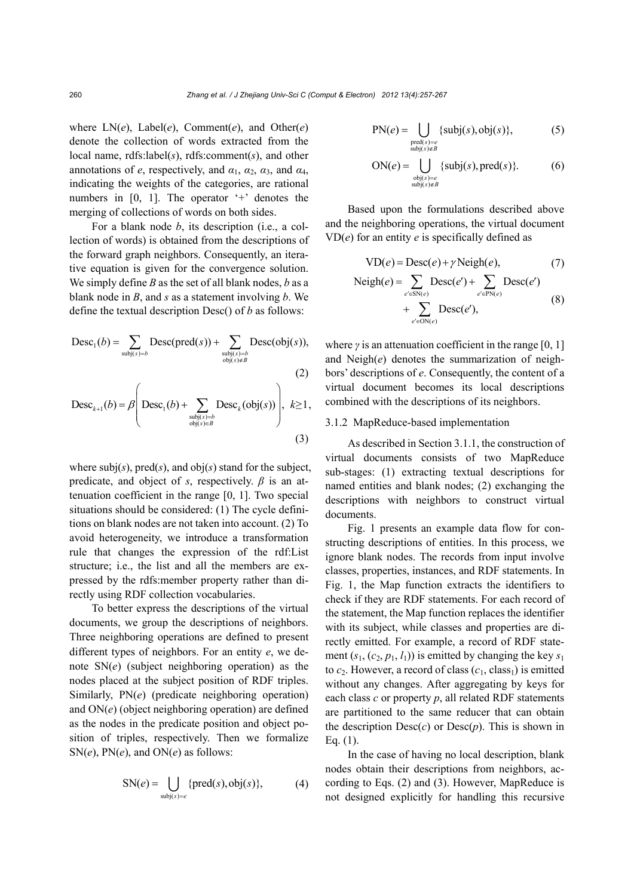where LN(*e*), Label(*e*), Comment(*e*), and Other(*e*) denote the collection of words extracted from the local name, rdfs:label(*s*), rdfs:comment(*s*), and other annotations of *e*, respectively, and  $\alpha_1$ ,  $\alpha_2$ ,  $\alpha_3$ , and  $\alpha_4$ , indicating the weights of the categories, are rational numbers in [0, 1]. The operator '+' denotes the merging of collections of words on both sides.

For a blank node *b*, its description (i.e., a collection of words) is obtained from the descriptions of the forward graph neighbors. Consequently, an iterative equation is given for the convergence solution. We simply define *B* as the set of all blank nodes, *b* as a blank node in *B*, and *s* as a statement involving *b*. We define the textual description Desc() of *b* as follows:

$$
Desc1(b) = \sum_{\text{subj}(s)=b} Desc(pred(s)) + \sum_{\text{subj}(s)=b \atop \text{obj}(s) \notin B} Desc(obj(s)),
$$
\n(2)

$$
\text{Desc}_{k+1}(b) = \beta \left( \text{Desc}_1(b) + \sum_{\substack{\text{subj}(s) = b \\ \text{obj}(s) \in B}} \text{Desc}_k(\text{obj}(s)) \right), \ k \ge 1,
$$
\n(3)

where  $\text{subj}(s)$ ,  $\text{pred}(s)$ , and  $\text{obj}(s)$  stand for the subject, predicate, and object of *s*, respectively.  $\beta$  is an attenuation coefficient in the range [0, 1]. Two special situations should be considered: (1) The cycle definitions on blank nodes are not taken into account. (2) To avoid heterogeneity, we introduce a transformation rule that changes the expression of the rdf:List structure; i.e., the list and all the members are expressed by the rdfs:member property rather than directly using RDF collection vocabularies.

To better express the descriptions of the virtual documents, we group the descriptions of neighbors. Three neighboring operations are defined to present different types of neighbors. For an entity *e*, we denote SN(*e*) (subject neighboring operation) as the nodes placed at the subject position of RDF triples. Similarly, PN(*e*) (predicate neighboring operation) and ON(*e*) (object neighboring operation) are defined as the nodes in the predicate position and object position of triples, respectively. Then we formalize  $SN(e)$ ,  $PN(e)$ , and  $ON(e)$  as follows:

$$
SN(e) = \bigcup_{\text{subj}(s) = e} \{\text{pred}(s), \text{obj}(s)\},\tag{4}
$$

$$
PN(e) = \bigcup_{\substack{\text{pred}(s) = e \\ \text{subj}(s) \notin B}} \{\text{subj}(s), \text{obj}(s)\},\tag{5}
$$

$$
\text{ON}(e) = \bigcup_{\substack{\text{obj}(s) = e \\ \text{subj}(s) \notin B}} \{\text{subj}(s), \text{pred}(s)\}. \tag{6}
$$

Based upon the formulations described above and the neighboring operations, the virtual document  $VD(e)$  for an entity *e* is specifically defined as

$$
VD(e) = Desc(e) + \gamma Neigh(e),
$$
 (7)

$$
\text{Neigh}(e) = \sum_{e' \in \text{SN}(e)} \text{Desc}(e') + \sum_{e' \in \text{PN}(e)} \text{Desc}(e')
$$
  
+ 
$$
\sum_{e' \in \text{ON}(e)} \text{Desc}(e'), \tag{8}
$$

where  $\gamma$  is an attenuation coefficient in the range [0, 1] and Neigh(*e*) denotes the summarization of neighbors' descriptions of *e*. Consequently, the content of a virtual document becomes its local descriptions combined with the descriptions of its neighbors.

#### 3.1.2 MapReduce-based implementation

As described in Section 3.1.1, the construction of virtual documents consists of two MapReduce sub-stages: (1) extracting textual descriptions for named entities and blank nodes; (2) exchanging the descriptions with neighbors to construct virtual documents.

Fig. 1 presents an example data flow for constructing descriptions of entities. In this process, we ignore blank nodes. The records from input involve classes, properties, instances, and RDF statements. In Fig. 1, the Map function extracts the identifiers to check if they are RDF statements. For each record of the statement, the Map function replaces the identifier with its subject, while classes and properties are directly emitted. For example, a record of RDF statement  $(s_1, (c_2, p_1, l_1))$  is emitted by changing the key  $s_1$ to  $c_2$ . However, a record of class  $(c_1, class_1)$  is emitted without any changes. After aggregating by keys for each class *c* or property *p*, all related RDF statements are partitioned to the same reducer that can obtain the description  $Desc(c)$  or  $Desc(p)$ . This is shown in Eq. (1).

In the case of having no local description, blank nodes obtain their descriptions from neighbors, according to Eqs. (2) and (3). However, MapReduce is not designed explicitly for handling this recursive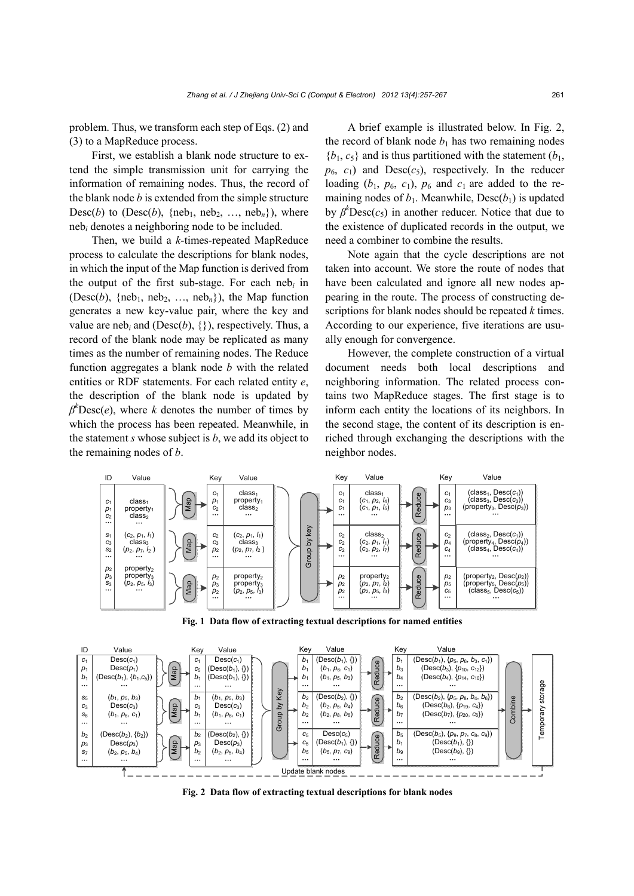problem. Thus, we transform each step of Eqs. (2) and (3) to a MapReduce process.

First, we establish a blank node structure to extend the simple transmission unit for carrying the information of remaining nodes. Thus, the record of the blank node *b* is extended from the simple structure Desc(*b*) to (Desc(*b*), {neb<sub>1</sub>, neb<sub>2</sub>, ..., neb<sub>n</sub>}), where neb*i* denotes a neighboring node to be included.

Then, we build a *k*-times-repeated MapReduce process to calculate the descriptions for blank nodes, in which the input of the Map function is derived from the output of the first sub-stage. For each neb<sub>i</sub> in (Desc(*b*), {neb<sub>1</sub>, neb<sub>2</sub>, ..., neb<sub>n</sub>}), the Map function generates a new key-value pair, where the key and value are neb<sub>i</sub> and (Desc $(b)$ ,  $\{\}$ ), respectively. Thus, a record of the blank node may be replicated as many times as the number of remaining nodes. The Reduce function aggregates a blank node *b* with the related entities or RDF statements. For each related entity *e*, the description of the blank node is updated by  $\beta^k$ Desc(*e*), where *k* denotes the number of times by which the process has been repeated. Meanwhile, in the statement *s* whose subject is *b*, we add its object to the remaining nodes of *b*.

A brief example is illustrated below. In Fig. 2, the record of blank node  $b_1$  has two remaining nodes  ${b_1, c_5}$  and is thus partitioned with the statement  $(b_1, b_2)$  $p_6$ ,  $c_1$ ) and Desc( $c_5$ ), respectively. In the reducer loading  $(b_1, p_6, c_1)$ ,  $p_6$  and  $c_1$  are added to the remaining nodes of  $b_1$ . Meanwhile, Desc $(b_1)$  is updated by  $\beta^k$ Desc( $c_5$ ) in another reducer. Notice that due to the existence of duplicated records in the output, we need a combiner to combine the results.

Note again that the cycle descriptions are not taken into account. We store the route of nodes that have been calculated and ignore all new nodes appearing in the route. The process of constructing descriptions for blank nodes should be repeated *k* times. According to our experience, five iterations are usually enough for convergence.

However, the complete construction of a virtual document needs both local descriptions and neighboring information. The related process contains two MapReduce stages. The first stage is to inform each entity the locations of its neighbors. In the second stage, the content of its description is enriched through exchanging the descriptions with the neighbor nodes.



**Fig. 1 Data flow of extracting textual descriptions for named entities** 



**Fig. 2 Data flow of extracting textual descriptions for blank nodes**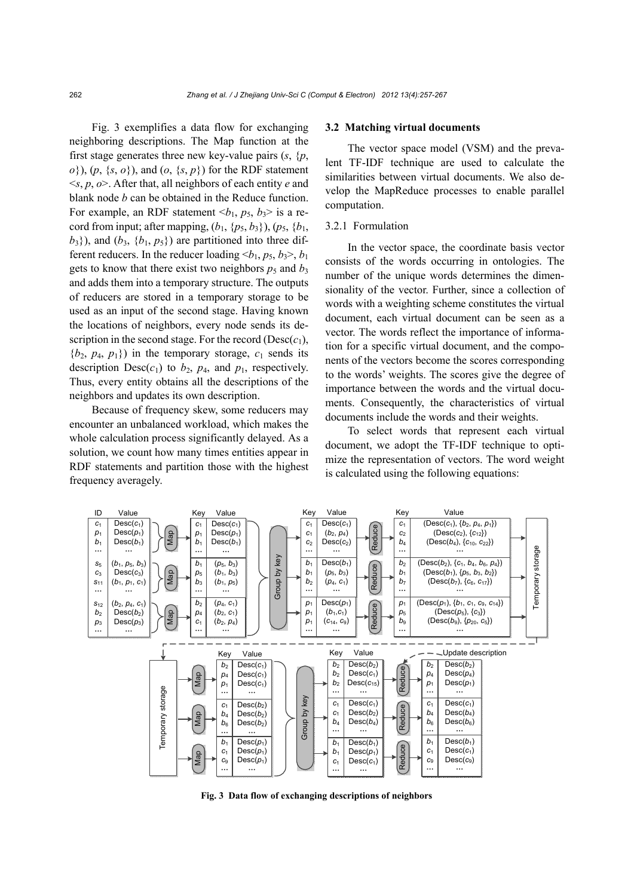Fig. 3 exemplifies a data flow for exchanging neighboring descriptions. The Map function at the first stage generates three new key-value pairs  $(s, \{p,$ *o*}), (*p*, {*s*, *o*}), and (*o*, {*s*, *p*}) for the RDF statement <*s*, *p*, *o*>. After that, all neighbors of each entity *e* and blank node *b* can be obtained in the Reduce function. For example, an RDF statement  $\langle b_1, p_5, b_3 \rangle$  is a record from input; after mapping,  $(b_1, \{p_5, b_3\})$ ,  $(p_5, \{b_1,$  $b_3$ }), and  $(b_3, \{b_1, p_5\})$  are partitioned into three different reducers. In the reducer loading  $\langle b_1, p_5, b_3 \rangle$ ,  $b_1$ gets to know that there exist two neighbors  $p_5$  and  $b_3$ and adds them into a temporary structure. The outputs of reducers are stored in a temporary storage to be used as an input of the second stage. Having known the locations of neighbors, every node sends its description in the second stage. For the record ( $Desc(c_1)$ ,  ${b_2, p_4, p_1}$  in the temporary storage,  $c_1$  sends its description  $Desc(c_1)$  to  $b_2$ ,  $p_4$ , and  $p_1$ , respectively. Thus, every entity obtains all the descriptions of the neighbors and updates its own description.

Because of frequency skew, some reducers may encounter an unbalanced workload, which makes the whole calculation process significantly delayed. As a solution, we count how many times entities appear in RDF statements and partition those with the highest frequency averagely.

#### **3.2 Matching virtual documents**

The vector space model (VSM) and the prevalent TF-IDF technique are used to calculate the similarities between virtual documents. We also develop the MapReduce processes to enable parallel computation.

# 3.2.1 Formulation

In the vector space, the coordinate basis vector consists of the words occurring in ontologies. The number of the unique words determines the dimensionality of the vector. Further, since a collection of words with a weighting scheme constitutes the virtual document, each virtual document can be seen as a vector. The words reflect the importance of information for a specific virtual document, and the components of the vectors become the scores corresponding to the words' weights. The scores give the degree of importance between the words and the virtual documents. Consequently, the characteristics of virtual documents include the words and their weights.

To select words that represent each virtual document, we adopt the TF-IDF technique to optimize the representation of vectors. The word weight is calculated using the following equations:



**Fig. 3 Data flow of exchanging descriptions of neighbors**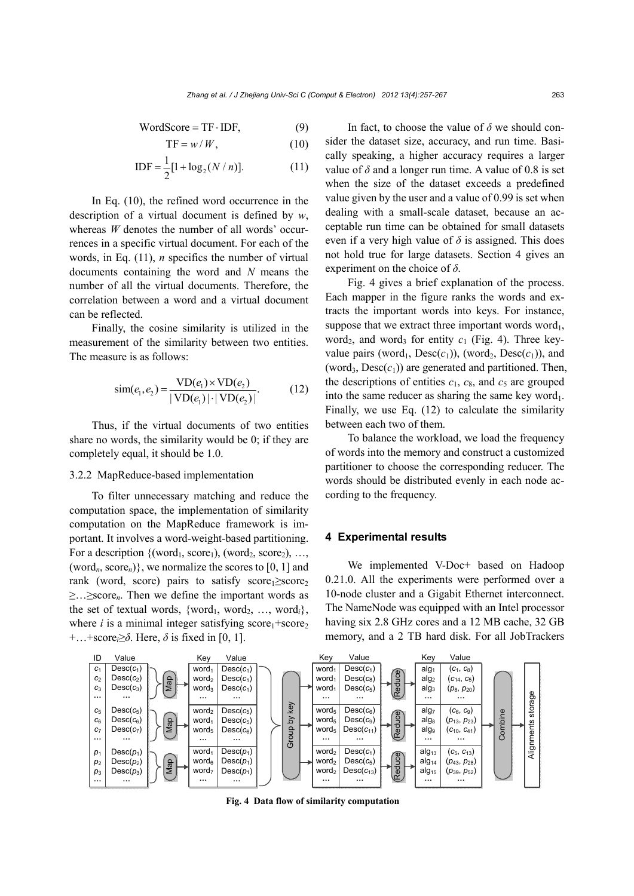$$
WordScore = TF \cdot IDF,
$$
 (9)

$$
TF = w/W, \tag{10}
$$

$$
IDF = \frac{1}{2} [1 + \log_2(N/n)].
$$
 (11)

In Eq. (10), the refined word occurrence in the description of a virtual document is defined by *w*, whereas *W* denotes the number of all words' occurrences in a specific virtual document. For each of the words, in Eq. (11), *n* specifics the number of virtual documents containing the word and *N* means the number of all the virtual documents. Therefore, the correlation between a word and a virtual document can be reflected.

Finally, the cosine similarity is utilized in the measurement of the similarity between two entities. The measure is as follows:

$$
sim(e_1, e_2) = \frac{VD(e_1) \times VD(e_2)}{|VD(e_1)| \cdot |VD(e_2)|}.
$$
 (12)

Thus, if the virtual documents of two entities share no words, the similarity would be 0; if they are completely equal, it should be 1.0.

# 3.2.2 MapReduce-based implementation

To filter unnecessary matching and reduce the computation space, the implementation of similarity computation on the MapReduce framework is important. It involves a word-weight-based partitioning. For a description  $\{(\text{word}_1, \text{score}_1), (\text{word}_2, \text{score}_2), ...,$ (word*n*, score*n*)}, we normalize the scores to [0, 1] and rank (word, score) pairs to satisfy score $_1 \ge$ score<sub>2</sub> ≥…≥score*n*. Then we define the important words as the set of textual words,  $\{word_1, word_2, ..., word_i\}$ , where  $i$  is a minimal integer satisfying  $score_1 + score_2$ +…+score*i*≥*δ*. Here, *δ* is fixed in [0, 1].

In fact, to choose the value of  $\delta$  we should consider the dataset size, accuracy, and run time. Basically speaking, a higher accuracy requires a larger value of  $\delta$  and a longer run time. A value of 0.8 is set when the size of the dataset exceeds a predefined value given by the user and a value of 0.99 is set when dealing with a small-scale dataset, because an acceptable run time can be obtained for small datasets even if a very high value of  $\delta$  is assigned. This does not hold true for large datasets. Section 4 gives an experiment on the choice of *δ*.

Fig. 4 gives a brief explanation of the process. Each mapper in the figure ranks the words and extracts the important words into keys. For instance, suppose that we extract three important words word<sub>1</sub>, word<sub>2</sub>, and word<sub>3</sub> for entity  $c_1$  (Fig. 4). Three keyvalue pairs (word<sub>1</sub>, Desc( $c_1$ )), (word<sub>2</sub>, Desc( $c_1$ )), and (word<sub>3</sub>, Desc $(c_1)$ ) are generated and partitioned. Then, the descriptions of entities  $c_1$ ,  $c_8$ , and  $c_5$  are grouped into the same reducer as sharing the same key word<sub>1</sub>. Finally, we use Eq. (12) to calculate the similarity between each two of them.

To balance the workload, we load the frequency of words into the memory and construct a customized partitioner to choose the corresponding reducer. The words should be distributed evenly in each node according to the frequency.

## **4 Experimental results**

We implemented V-Doc+ based on Hadoop 0.21.0. All the experiments were performed over a 10-node cluster and a Gigabit Ethernet interconnect. The NameNode was equipped with an Intel processor having six 2.8 GHz cores and a 12 MB cache, 32 GB memory, and a 2 TB hard disk. For all JobTrackers



**Fig. 4 Data flow of similarity computation**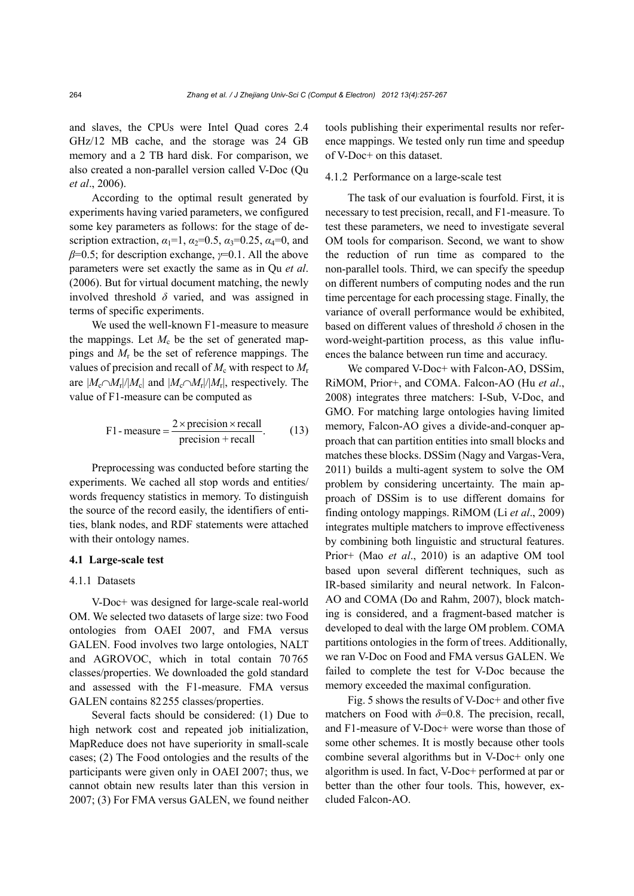and slaves, the CPUs were Intel Quad cores 2.4 GHz/12 MB cache, and the storage was 24 GB memory and a 2 TB hard disk. For comparison, we also created a non-parallel version called V-Doc (Qu *et al*., 2006).

According to the optimal result generated by experiments having varied parameters, we configured some key parameters as follows: for the stage of description extraction,  $\alpha_1=1$ ,  $\alpha_2=0.5$ ,  $\alpha_3=0.25$ ,  $\alpha_4=0$ , and *β*=0.5; for description exchange, *γ*=0.1. All the above parameters were set exactly the same as in Qu *et al*. (2006). But for virtual document matching, the newly involved threshold *δ* varied, and was assigned in terms of specific experiments.

We used the well-known F1-measure to measure the mappings. Let  $M_c$  be the set of generated mappings and *M*r be the set of reference mappings. The values of precision and recall of  $M_c$  with respect to  $M_r$ are  $|M_c \cap M_r|/|M_c|$  and  $|M_c \cap M_r|/|M_r|$ , respectively. The value of F1-measure can be computed as

F1-measure = 
$$
\frac{2 \times \text{precision} \times \text{recall}}{\text{precision} + \text{recall}}.
$$
 (13)

Preprocessing was conducted before starting the experiments. We cached all stop words and entities/ words frequency statistics in memory. To distinguish the source of the record easily, the identifiers of entities, blank nodes, and RDF statements were attached with their ontology names.

### **4.1 Large-scale test**

# 4.1.1 Datasets

V-Doc+ was designed for large-scale real-world OM. We selected two datasets of large size: two Food ontologies from OAEI 2007, and FMA versus GALEN. Food involves two large ontologies, NALT and AGROVOC, which in total contain 70765 classes/properties. We downloaded the gold standard and assessed with the F1-measure. FMA versus GALEN contains 82255 classes/properties.

Several facts should be considered: (1) Due to high network cost and repeated job initialization, MapReduce does not have superiority in small-scale cases; (2) The Food ontologies and the results of the participants were given only in OAEI 2007; thus, we cannot obtain new results later than this version in 2007; (3) For FMA versus GALEN, we found neither tools publishing their experimental results nor reference mappings. We tested only run time and speedup of V-Doc+ on this dataset.

#### 4.1.2 Performance on a large-scale test

The task of our evaluation is fourfold. First, it is necessary to test precision, recall, and F1-measure. To test these parameters, we need to investigate several OM tools for comparison. Second, we want to show the reduction of run time as compared to the non-parallel tools. Third, we can specify the speedup on different numbers of computing nodes and the run time percentage for each processing stage. Finally, the variance of overall performance would be exhibited, based on different values of threshold *δ* chosen in the word-weight-partition process, as this value influences the balance between run time and accuracy.

We compared V-Doc+ with Falcon-AO, DSSim, RiMOM, Prior+, and COMA. Falcon-AO (Hu *et al*., 2008) integrates three matchers: I-Sub, V-Doc, and GMO. For matching large ontologies having limited memory, Falcon-AO gives a divide-and-conquer approach that can partition entities into small blocks and matches these blocks. DSSim (Nagy and Vargas-Vera, 2011) builds a multi-agent system to solve the OM problem by considering uncertainty. The main approach of DSSim is to use different domains for finding ontology mappings. RiMOM (Li *et al*., 2009) integrates multiple matchers to improve effectiveness by combining both linguistic and structural features. Prior+ (Mao *et al*., 2010) is an adaptive OM tool based upon several different techniques, such as IR-based similarity and neural network. In Falcon-AO and COMA (Do and Rahm, 2007), block matching is considered, and a fragment-based matcher is developed to deal with the large OM problem. COMA partitions ontologies in the form of trees. Additionally, we ran V-Doc on Food and FMA versus GALEN. We failed to complete the test for V-Doc because the memory exceeded the maximal configuration.

Fig. 5 shows the results of V-Doc+ and other five matchers on Food with  $\delta$ =0.8. The precision, recall, and F1-measure of V-Doc+ were worse than those of some other schemes. It is mostly because other tools combine several algorithms but in V-Doc+ only one algorithm is used. In fact, V-Doc+ performed at par or better than the other four tools. This, however, excluded Falcon-AO.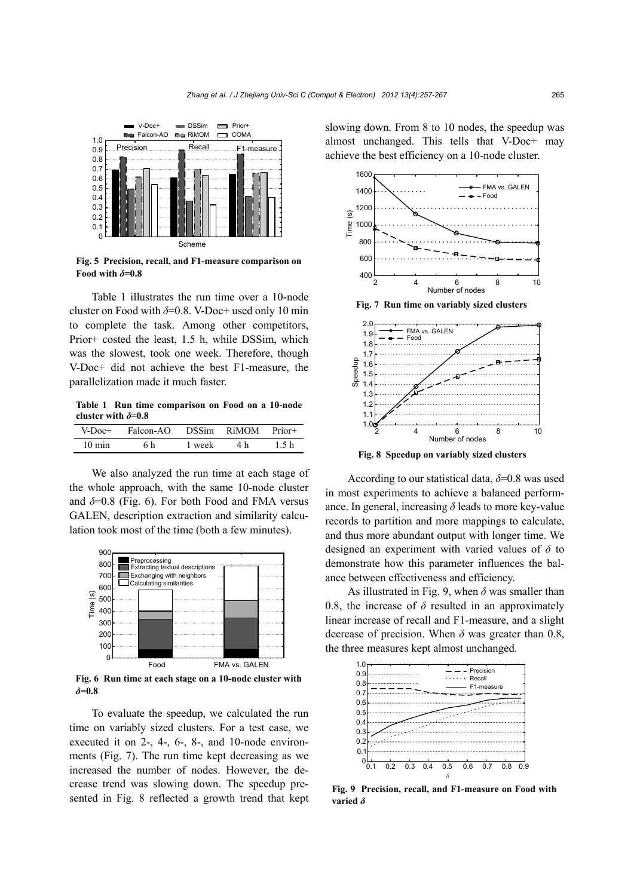

**Fig. 5 Precision, recall, and F1-measure comparison on**  Food with  $\delta$ =0.8

Table 1 illustrates the run time over a 10-node cluster on Food with *δ*=0.8. V-Doc+ used only 10 min to complete the task. Among other competitors, Prior+ costed the least, 1.5 h, while DSSim, which was the slowest, took one week. Therefore, though V-Doc+ did not achieve the best F1-measure, the parallelization made it much faster.

**Table 1 Run time comparison on Food on a 10-node cluster with** *δ***=0.8** 

| V-Doc+           | Falcon-AO |        | DSSim RiMOM | Prior+ |
|------------------|-----------|--------|-------------|--------|
| $10 \text{ min}$ | 6 h       | 1 week | 4 h         | 15 h   |

We also analyzed the run time at each stage of the whole approach, with the same 10-node cluster and  $\delta$ =0.8 (Fig. 6). For both Food and FMA versus GALEN, description extraction and similarity calculation took most of the time (both a few minutes).



**Fig. 6 Run time at each stage on a 10-node cluster with**  *δ***=0.8** 

To evaluate the speedup, we calculated the run time on variably sized clusters. For a test case, we executed it on 2-, 4-, 6-, 8-, and 10-node environments (Fig. 7). The run time kept decreasing as we increased the number of nodes. However, the decrease trend was slowing down. The speedup presented in Fig. 8 reflected a growth trend that kept slowing down. From 8 to 10 nodes, the speedup was almost unchanged. This tells that V-Doc+ may achieve the best efficiency on a 10-node cluster.



**Fig. 8 Speedup on variably sized clusters**

According to our statistical data, *δ*=0.8 was used in most experiments to achieve a balanced performance. In general, increasing  $\delta$  leads to more key-value records to partition and more mappings to calculate, and thus more abundant output with longer time. We designed an experiment with varied values of *δ* to demonstrate how this parameter influences the balance between effectiveness and efficiency.

As illustrated in Fig. 9, when  $\delta$  was smaller than 0.8, the increase of  $\delta$  resulted in an approximately linear increase of recall and F1-measure, and a slight decrease of precision. When  $\delta$  was greater than 0.8, the three measures kept almost unchanged.



**Fig. 9 Precision, recall, and F1-measure on Food with varied** *δ*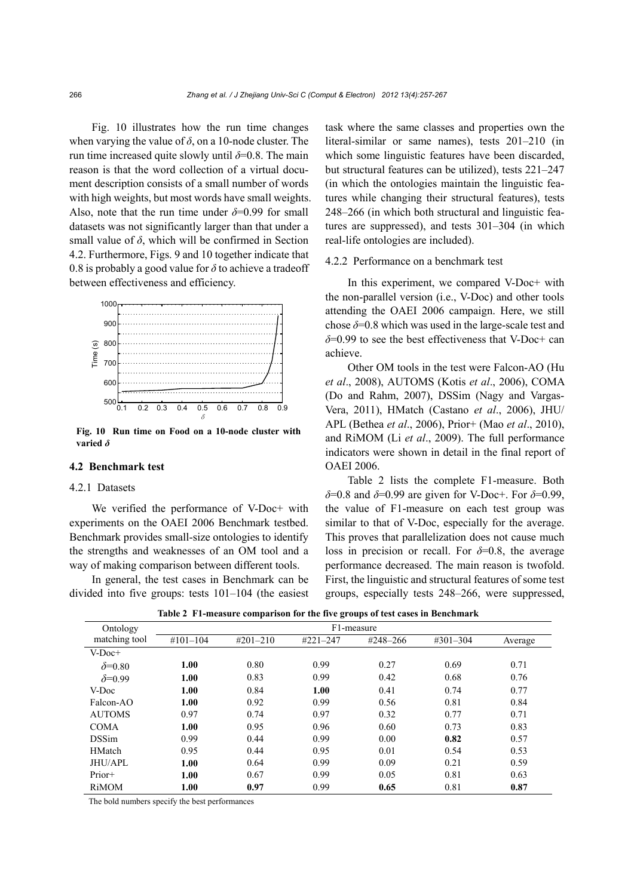Fig. 10 illustrates how the run time changes when varying the value of  $\delta$ , on a 10-node cluster. The run time increased quite slowly until  $\delta$ =0.8. The main reason is that the word collection of a virtual document description consists of a small number of words with high weights, but most words have small weights. Also, note that the run time under  $\delta = 0.99$  for small datasets was not significantly larger than that under a small value of  $\delta$ , which will be confirmed in Section 4.2. Furthermore, Figs. 9 and 10 together indicate that 0.8 is probably a good value for  $\delta$  to achieve a tradeoff between effectiveness and efficiency.



**Fig. 10 Run time on Food on a 10-node cluster with varied** *δ*

# **4.2 Benchmark test**

# 4.2.1 Datasets

We verified the performance of V-Doc+ with experiments on the OAEI 2006 Benchmark testbed. Benchmark provides small-size ontologies to identify the strengths and weaknesses of an OM tool and a way of making comparison between different tools.

In general, the test cases in Benchmark can be divided into five groups: tests 101–104 (the easiest

task where the same classes and properties own the literal-similar or same names), tests 201–210 (in which some linguistic features have been discarded, but structural features can be utilized), tests 221–247 (in which the ontologies maintain the linguistic features while changing their structural features), tests 248–266 (in which both structural and linguistic features are suppressed), and tests 301–304 (in which real-life ontologies are included).

# 4.2.2 Performance on a benchmark test

In this experiment, we compared V-Doc+ with the non-parallel version (i.e., V-Doc) and other tools attending the OAEI 2006 campaign. Here, we still chose  $\delta$ =0.8 which was used in the large-scale test and *δ*=0.99 to see the best effectiveness that V-Doc+ can achieve.

Other OM tools in the test were Falcon-AO (Hu *et al*., 2008), AUTOMS (Kotis *et al*., 2006), COMA (Do and Rahm, 2007), DSSim (Nagy and Vargas-Vera, 2011), HMatch (Castano *et al*., 2006), JHU/ APL (Bethea *et al*., 2006), Prior+ (Mao *et al*., 2010), and RiMOM (Li *et al*., 2009). The full performance indicators were shown in detail in the final report of OAEI 2006.

Table 2 lists the complete F1-measure. Both *δ*=0.8 and *δ*=0.99 are given for V-Doc+. For *δ*=0.99, the value of F1-measure on each test group was similar to that of V-Doc, especially for the average. This proves that parallelization does not cause much loss in precision or recall. For  $\delta$ =0.8, the average performance decreased. The main reason is twofold. First, the linguistic and structural features of some test groups, especially tests 248–266, were suppressed,

| Ontology        | F1-measure    |               |               |              |               |         |  |
|-----------------|---------------|---------------|---------------|--------------|---------------|---------|--|
| matching tool   | $\#101 - 104$ | $\#201 - 210$ | $\#221 - 247$ | $#248 - 266$ | $\#301 - 304$ | Average |  |
| $V-Doc+$        |               |               |               |              |               |         |  |
| $\delta = 0.80$ | 1.00          | 0.80          | 0.99          | 0.27         | 0.69          | 0.71    |  |
| $\delta = 0.99$ | 1.00          | 0.83          | 0.99          | 0.42         | 0.68          | 0.76    |  |
| V-Doc           | 1.00          | 0.84          | 1.00          | 0.41         | 0.74          | 0.77    |  |
| Falcon-AO       | 1.00          | 0.92          | 0.99          | 0.56         | 0.81          | 0.84    |  |
| <b>AUTOMS</b>   | 0.97          | 0.74          | 0.97          | 0.32         | 0.77          | 0.71    |  |
| <b>COMA</b>     | 1.00          | 0.95          | 0.96          | 0.60         | 0.73          | 0.83    |  |
| <b>DSSim</b>    | 0.99          | 0.44          | 0.99          | 0.00         | 0.82          | 0.57    |  |
| HMatch          | 0.95          | 0.44          | 0.95          | 0.01         | 0.54          | 0.53    |  |
| JHU/APL         | 1.00          | 0.64          | 0.99          | 0.09         | 0.21          | 0.59    |  |
| Prior+          | 1.00          | 0.67          | 0.99          | 0.05         | 0.81          | 0.63    |  |
| RiMOM           | 1.00          | 0.97          | 0.99          | 0.65         | 0.81          | 0.87    |  |

**Table 2 F1-measure comparison for the five groups of test cases in Benchmark**

The bold numbers specify the best performances